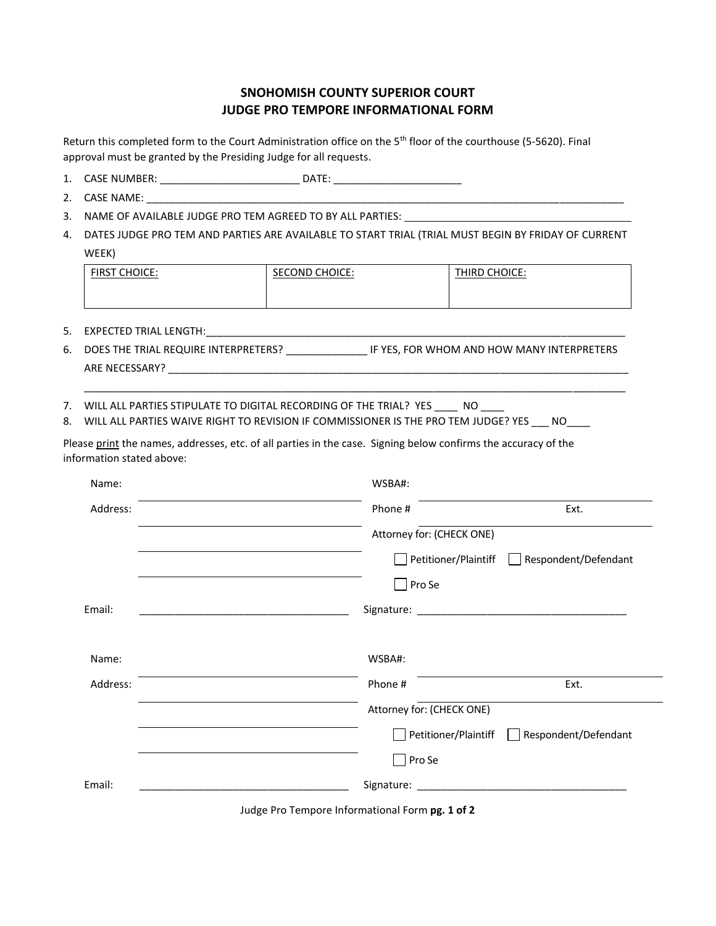## **SNOHOMISH COUNTY SUPERIOR COURT JUDGE PRO TEMPORE INFORMATIONAL FORM**

Return this completed form to the Court Administration office on the 5<sup>th</sup> floor of the courthouse (5-5620). Final approval must be granted by the Presiding Judge for all requests.

- 1. CASE NUMBER: \_\_\_\_\_\_\_\_\_\_\_\_\_\_\_\_\_\_\_\_\_\_\_\_\_\_\_\_ DATE: \_\_\_\_\_\_\_\_\_\_\_\_\_\_\_\_\_\_\_\_\_\_\_\_\_\_\_\_\_
- 2. CASE NAME: \_\_\_\_\_
- 3. NAME OF AVAILABLE JUDGE PRO TEM AGREED TO BY ALL PARTIES:
- 4. DATES JUDGE PRO TEM AND PARTIES ARE AVAILABLE TO START TRIAL (TRIAL MUST BEGIN BY FRIDAY OF CURRENT WEEK)

| <b>CHOICE:</b><br><b>FIRST</b> | <b>SECOND CHOICE:</b> | THIRD CHOICE: |
|--------------------------------|-----------------------|---------------|
|                                |                       |               |
|                                |                       |               |

- 5. EXPECTED TRIAL LENGTH:\_\_\_\_\_\_\_\_\_\_\_\_\_\_\_\_\_\_\_\_\_\_\_\_\_\_\_\_\_\_\_\_\_\_\_\_\_\_\_\_\_\_\_\_\_\_\_\_\_\_\_\_\_\_\_\_\_\_\_\_\_\_\_\_\_\_\_\_\_\_\_\_
- 6. DOES THE TRIAL REQUIRE INTERPRETERS? \_\_\_\_\_\_\_\_\_\_\_\_\_\_ IF YES, FOR WHOM AND HOW MANY INTERPRETERS ARE NECESSARY? \_\_\_\_\_\_\_\_\_\_\_\_\_\_\_\_\_\_\_\_\_\_\_\_\_\_\_\_\_\_\_\_\_\_\_\_\_\_\_\_\_\_\_\_\_\_\_\_\_\_\_\_\_\_\_\_\_\_\_\_\_\_\_\_\_\_\_\_\_\_\_\_\_\_\_\_\_\_\_

\_\_\_\_\_\_\_\_\_\_\_\_\_\_\_\_\_\_\_\_\_\_\_\_\_\_\_\_\_\_\_\_\_\_\_\_\_\_\_\_\_\_\_\_\_\_\_\_\_\_\_\_\_\_\_\_\_\_\_\_\_\_\_\_\_\_\_\_\_\_\_\_\_\_\_\_\_\_\_\_\_\_\_\_\_\_\_\_\_\_\_\_\_

- 7. WILL ALL PARTIES STIPULATE TO DIGITAL RECORDING OF THE TRIAL? YES \_\_\_\_\_ NO \_\_\_
- 8. WILL ALL PARTIES WAIVE RIGHT TO REVISION IF COMMISSIONER IS THE PRO TEM JUDGE? YES NO

Please print the names, addresses, etc. of all parties in the case. Signing below confirms the accuracy of the information stated above:

| Name:    | WSBA#:                    |                                             |
|----------|---------------------------|---------------------------------------------|
| Address: | Phone #                   | Ext.                                        |
|          | Attorney for: (CHECK ONE) |                                             |
|          | Petitioner/Plaintiff      | Respondent/Defendant<br>$\mathbf{I}$        |
|          | $\Box$ Pro Se             |                                             |
| Email:   |                           |                                             |
|          |                           |                                             |
| Name:    | WSBA#:                    |                                             |
| Address: | Phone #                   | Ext.                                        |
|          | Attorney for: (CHECK ONE) |                                             |
|          |                           | Petitioner/Plaintiff   Respondent/Defendant |
|          | $\Box$ Pro Se             |                                             |
| Email:   |                           |                                             |
|          |                           |                                             |

Judge Pro Tempore Informational Form **pg. 1 of 2**